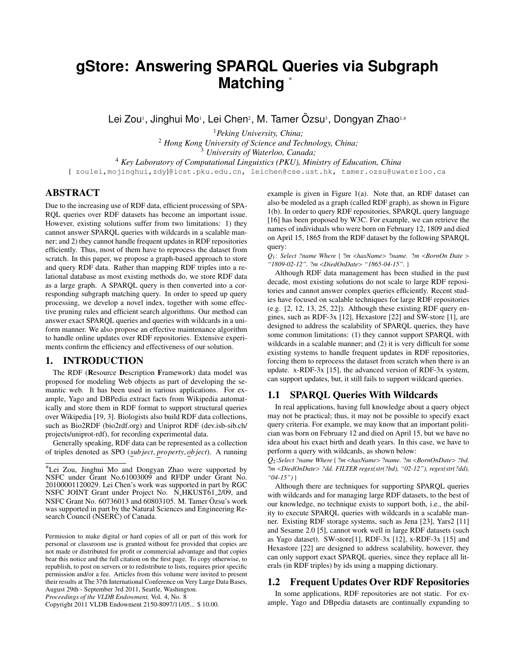# **a** Matching ∗

Lei Zou<sup>1</sup>, Jinghui Mo<sup>1</sup>, Lei Chen<sup>2</sup>, M. Tamer Özsu<sup>3</sup>, Dongyan Zhao<sup>1,4</sup>

*Peking University, China; Hong Kong University of Science and Technology, China; University of Waterloo, Canada; Key Laboratory of Computational Linguistics (PKU), Ministry of Education, China*

{ zoulei,mojinghui,zdy}@icst.pku.edu.cn, leichen@cse.ust.hk, tamer.ozsu@uwaterloo.ca

# ABSTRACT

Due to the increasing use of RDF data, efficient processing of SPA-RQL queries over RDF datasets has become an important issue. However, existing solutions suffer from two limitations: 1) they cannot answer SPARQL queries with wildcards in a scalable manner; and 2) they cannot handle frequent updates in RDF repositories efficiently. Thus, most of them have to reprocess the dataset from scratch. In this paper, we propose a graph-based approach to store and query RDF data. Rather than mapping RDF triples into a relational database as most existing methods do, we store RDF data as a large graph. A SPARQL query is then converted into a corresponding subgraph matching query. In order to speed up query processing, we develop a novel index, together with some effective pruning rules and efficient search algorithms. Our method can answer exact SPARQL queries and queries with wildcards in a uniform manner. We also propose an effective maintenance algorithm to handle online updates over RDF repositories. Extensive experiments confirm the efficiency and effectiveness of our solution.

# 1. INTRODUCTION

The RDF (Resource Description Framework) data model was proposed for modeling Web objects as part of developing the semantic web. It has been used in various applications. For example, Yago and DBPedia extract facts from Wikipedia automatically and store them in RDF format to support structural queries over Wikipedia [19, 3]. Biologists also build RDF data collections, such as Bio2RDF (bio2rdf.org) and Uniprot RDF (dev.isb-sib.ch/ projects/uniprot-rdf), for recording experimental data.

Generally speaking, RDF data can be represented as a collection of triples denoted as SPO (*sub ject*, *property*, *ob ject*). A running example is given in Figure 1(a). Note that, an RDF dataset can also be modeled as a graph (called RDF graph), as shown in Figure 1(b). In order to query RDF repositories, SPARQL query language [16] has been proposed by W3C. For example, we can retrieve the names of individuals who were born on February 12, 1809 and died on April 15, 1865 from the RDF dataset by the following SPARQL query:

*Q*1: *Select ?name Where* { ?*m* <*hasName*> ?*name.* ?*m* <*BornOn Date* > *"1809-02-12".* ?*m* <*DiedOnDate*> *"1865-04-15".* }

Although RDF data management has been studied in the past decade, most existing solutions do not scale to large RDF repositories and cannot answer complex queries efficiently. Recent studies have focused on scalable techniques for large RDF repositories (e.g. [2, 12, 13, 25, 22]). Although these existing RDF query engines, such as RDF-3x [12], Hexastore [22] and SW-store [1], are designed to address the scalability of SPARQL queries, they have some common limitations: (1) they cannot support SPARQL with wildcards in a scalable manner; and (2) it is very difficult for some existing systems to handle frequent updates in RDF repositories, forcing them to reprocess the dataset from scratch when there is an update. x-RDF-3x [15], the advanced version of RDF-3x system, can support updates, but, it still fails to support wildcard queries.

# 1.1 SPARQL Queries With Wildcards

In real applications, having full knowledge about a query object may not be practical; thus, it may not be possible to specify exact query criteria. For example, we may know that an important politician was born on February 12 and died on April 15, but we have no idea about his exact birth and death years. In this case, we have to perform a query with wildcards, as shown below:

*Q*2:*Select ?name Where* { ?*m* <*hasName*> ?*name.* ?*m* <*BornOnDate*> *?bd.* ?*m* <*DiedOnDate*> *?dd. FILTER regex(str(?bd), "02-12"), regex(str(?dd), "04-15")* }

Although there are techniques for supporting SPARQL queries with wildcards and for managing large RDF datasets, to the best of our knowledge, no technique exists to support both, i.e., the ability to execute SPARQL queries with wildcards in a scalable manner. Existing RDF storage systems, such as Jena [23], Yars2 [11] and Sesame 2.0 [5], cannot work well in large RDF datasets (such as Yago dataset). SW-store[1], RDF-3x [12], x-RDF-3x [15] and Hexastore [22] are designed to address scalability, however, they can only support exact SPARQL queries, since they replace all literals (in RDF triples) by ids using a mapping dictionary.

# 1.2 Frequent Updates Over RDF Repositories

In some applications, RDF repositories are not static. For example, Yago and DBpedia datasets are continually expanding to

<sup>∗</sup>Lei Zou, Jinghui Mo and Dongyan Zhao were supported by NSFC under Grant No.61003009 and RFDP under Grant No. 20100001120029. Lei Chen's work was supported in part by RGC NSFC JOINT Grant under Project No. N HKUST61 2/09, and NSFC Grant No. 60736013 and 60803105. M. Tamer Ozsu's work ¨ was supported in part by the Natural Sciences and Engineering Research Council (NSERC) of Canada.

Permission to make digital or hard copies of all or part of this work for personal or classroom use is granted without fee provided that copies are not made or distributed for profit or commercial advantage and that copies bear this notice and the full citation on the first page. To copy otherwise, to republish, to post on servers or to redistribute to lists, requires prior specific permission and/or a fee. Articles from this volume were invited to present their results at The 37th International Conference on Very Large Data Bases, August 29th - September 3rd 2011, Seattle, Washington.

*Proceedings of the VLDB Endowment,* Vol. 4, No. 8

Copyright 2011 VLDB Endowment 2150-8097/11/05... \$ 10.00.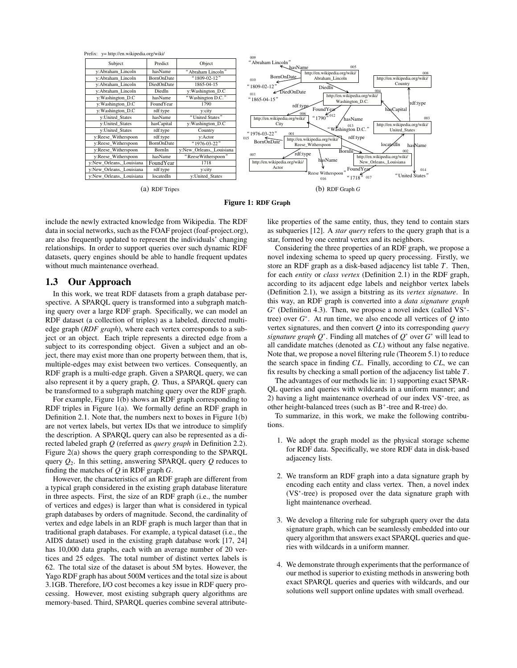

(a) RDF Tripes

Figure 1: RDF Graph

include the newly extracted knowledge from Wikipedia. The RDF data in social networks, such as the FOAF project (foaf-project.org), are also frequently updated to represent the individuals' changing relationships. In order to support queries over such dynamic RDF datasets, query engines should be able to handle frequent updates without much maintenance overhead.

# 1.3 Our Approach

In this work, we treat RDF datasets from a graph database perspective. A SPARQL query is transformed into a subgraph matching query over a large RDF graph. Specifically, we can model an RDF dataset (a collection of triples) as a labeled, directed multiedge graph (*RDF graph*), where each vertex corresponds to a subject or an object. Each triple represents a directed edge from a subject to its corresponding object. Given a subject and an object, there may exist more than one property between them, that is, multiple-edges may exist between two vertices. Consequently, an RDF graph is a multi-edge graph. Given a SPARQL query, we can also represent it by a query graph, *Q*. Thus, a SPARQL query can be transformed to a subgraph matching query over the RDF graph.

For example, Figure 1(b) shows an RDF graph corresponding to RDF triples in Figure 1(a). We formally define an RDF graph in Definition 2.1. Note that, the numbers next to boxes in Figure 1(b) are not vertex labels, but vertex IDs that we introduce to simplify the description. A SPARQL query can also be represented as a directed labeled graph *Q* (referred as *query graph* in Definition 2.2). Figure 2(a) shows the query graph corresponding to the SPARQL query  $Q_2$ . In this setting, answering SPAROL query O reduces to finding the matches of *Q* in RDF graph *G*.

However, the characteristics of an RDF graph are different from a typical graph considered in the existing graph database literature in three aspects. First, the size of an RDF graph (i.e., the number of vertices and edges) is larger than what is considered in typical graph databases by orders of magnitude. Second, the cardinality of vertex and edge labels in an RDF graph is much larger than that in traditional graph databases. For example, a typical dataset (i.e., the AIDS dataset) used in the existing graph database work [17, 24] has 10,000 data graphs, each with an average number of 20 vertices and 25 edges. The total number of distinct vertex labels is 62. The total size of the dataset is about 5M bytes. However, the Yago RDF graph has about 500M vertices and the total size is about 3.1GB. Therefore, I/O cost becomes a key issue in RDF query processing. However, most existing subgraph query algorithms are memory-based. Third, SPARQL queries combine several attributelike properties of the same entity, thus, they tend to contain stars as subqueries [12]. A *star query* refers to the query graph that is a star, formed by one central vertex and its neighbors.

Considering the three properties of an RDF graph, we propose a novel indexing schema to speed up query processing. Firstly, we store an RDF graph as a disk-based adjacency list table *T*. Then, for each *entity* or *class vertex* (Definition 2.1) in the RDF graph, according to its adjacent edge labels and neighbor vertex labels (Definition 2.1), we assign a bitstring as its *vertex signature*. In this way, an RDF graph is converted into a *data signature graph G*<sup>∗</sup> (Definition 4.3). Then, we propose a novel index (called VS<sup>∗</sup> tree) over *G*<sup>∗</sup>. At run time, we also encode all vertices of *Q* into vertex signatures, and then convert *Q* into its corresponding *query signature graph Q*<sup>∗</sup>. Finding all matches of *Q*<sup>∗</sup> over *G*<sup>∗</sup> will lead to all candidate matches (denoted as *CL*) without any false negative. Note that, we propose a novel filtering rule (Theorem 5.1) to reduce the search space in finding *CL*. Finally, according to *CL*, we can fix results by checking a small portion of the adjacency list table *T*.

The advantages of our methods lie in: 1) supporting exact SPAR-QL queries and queries with wildcards in a uniform manner; and 2) having a light maintenance overhead of our index VS<sup>∗</sup>-tree, as other height-balanced trees (such as  $B^+$ -tree and R-tree) do.

To summarize, in this work, we make the following contributions.

- 1. We adopt the graph model as the physical storage scheme for RDF data. Specifically, we store RDF data in disk-based adjacency lists.
- 2. We transform an RDF graph into a data signature graph by encoding each entity and class vertex. Then, a novel index (VS<sup>∗</sup>-tree) is proposed over the data signature graph with light maintenance overhead.
- 3. We develop a filtering rule for subgraph query over the data signature graph, which can be seamlessly embedded into our query algorithm that answers exact SPARQL queries and queries with wildcards in a uniform manner.
- 4. We demonstrate through experiments that the performance of our method is superior to existing methods in answering both exact SPARQL queries and queries with wildcards, and our solutions well support online updates with small overhead.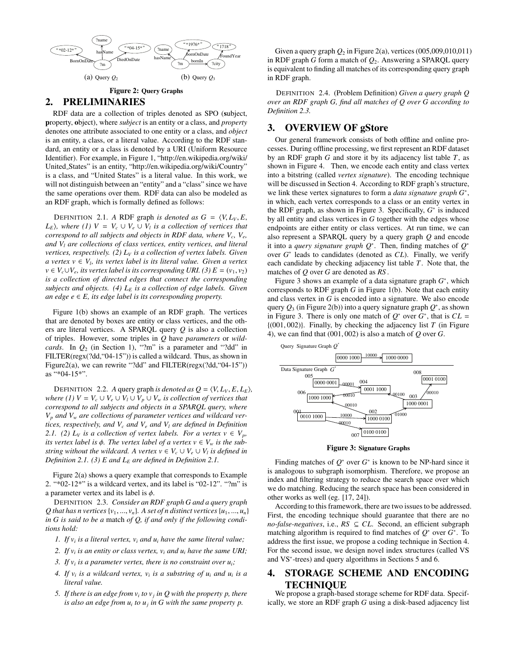

Figure 2: Query Graphs

# 2. PRELIMINARIES

RDF data are a collection of triples denoted as SPO (subject, property, object), where *subject* is an entity or a class, and *property* denotes one attribute associated to one entity or a class, and *object* is an entity, a class, or a literal value. According to the RDF standard, an entity or a class is denoted by a URI (Uniform Resource Identifier). For example, in Figure 1, "http://en.wikipedia.org/wiki/ United States" is an entity, "http://en.wikipedia.org/wiki/Country" is a class, and "United States" is a literal value. In this work, we will not distinguish between an "entity" and a "class" since we have the same operations over them. RDF data can also be modeled as an RDF graph, which is formally defined as follows:

DEFINITION 2.1. *A* RDF graph *is denoted as*  $G = \langle V, L_V, E, \rangle$ *L<sub>E</sub>* $)$ , where (1)  $V = V_c \cup V_e \cup V_l$  *is a collection of vertices that correspond to all subjects and objects in RDF data, where Vc, Ve, and Vl are collections of class vertices, entity vertices, and literal vertices, respectively.* (2)  $L_V$  *is a collection of vertex labels. Given a vertex v* ∈  $V_l$ , *its vertex label is its literal value. Given a vertex v* ∈  $V_c$ ∪ $V_e$ , *its vertex label is its corresponding URI.* (3)  $E = (v_1, v_2)$ *is a collection of directed edges that connect the corresponding subjects and objects. (4) LE is a collection of edge labels. Given an edge*  $e$  ∈  $E$ *, its edge label is its corresponding property.* 

Figure 1(b) shows an example of an RDF graph. The vertices that are denoted by boxes are entity or class vertices, and the others are literal vertices. A SPARQL query *Q* is also a collection of triples. However, some triples in *Q* have *parameters* or *wildcards*. In *Q*<sup>2</sup> (in Section 1), "?m" is a parameter and "?dd" in FILTER(regx(?dd,"04-15")) is called a wildcard. Thus, as shown in Figure2(a), we can rewrite "?dd" and FILTER(regx(?dd, "04-15")) as "\*04-15\*".

DEFINITION 2.2. *A* query graph *is denoted as*  $Q = \langle V, L_V, E, L_E \rangle$ , *where (1)*  $V = V_c \cup V_e \cup V_l \cup V_p \cup V_w$  *is collection of vertices that correspond to all subjects and objects in a SPARQL query, where Vp and Vw are collections of parameter vertices and wildcard vertices, respectively, and*  $V_c$  *and*  $V_e$  *and*  $V_l$  *are defined in Definition 2.1.* (2)  $L_V$  *is a collection of vertex labels. For a vertex*  $v \in V_p$ , *its vertex label is*  $\phi$ *. The vertex label of a vertex*  $v \in V_w$  *is the substring without the wildcard. A vertex*  $v \in V_c \cup V_e \cup V_l$  *is defined in Definition 2.1. (3) E and LE are defined in Definition 2.1.*

Figure 2(a) shows a query example that corresponds to Example 2. "\*02-12\*" is a wildcard vertex, and its label is "02-12". "?m" is a parameter vertex and its label is  $\phi$ .

DEFINITION 2.3. *Consider an RDF graph G and a query graph Q* that has n vertices  $\{v_1, ..., v_n\}$ . A set of n distinct vertices  $\{u_1, ..., u_n\}$ *in G is said to be a* match *of Q, if and only if the following conditions hold:*

- *1. If vi is a literal vertex, vi and ui have the same literal value;*
- 2. If  $v_i$  *is an entity or class vertex,*  $v_i$  *and*  $u_i$  *have the same URI;*
- *3. If*  $v_i$  *is a parameter vertex, there is no constraint over*  $u_i$ *;*
- 4. If  $v_i$  *is a wildcard vertex,*  $v_i$  *is a substring of*  $u_i$  *and*  $u_i$  *is a literal value.*
- *5. If there is an edge from*  $v_i$  *to*  $v_j$  *in Q with the property p, there is also an edge from*  $u_i$  *to*  $u_j$  *in G with the same property p.*

Given a query graph  $Q_2$  in Figure 2(a), vertices (005,009,010,011) in RDF graph *G* form a match of *Q*2. Answering a SPARQL query is equivalent to finding all matches of its corresponding query graph in RDF graph.

DEFINITION 2.4. (Problem Definition) *Given a query graph Q over an RDF graph G, find all matches of Q over G according to Definition 2.3.*

# 3. OVERVIEW OF gStore

Our general framework consists of both offline and online processes. During offline processing, we first represent an RDF dataset by an RDF graph *G* and store it by its adjacency list table *T*, as shown in Figure 4. Then, we encode each entity and class vertex into a bitstring (called *vertex signature*). The encoding technique will be discussed in Section 4. According to RDF graph's structure, we link these vertex signatures to form a *data signature graph G*<sup>∗</sup>, in which, each vertex corresponds to a class or an entity vertex in the RDF graph, as shown in Figure 3. Specifically, *G*<sup>∗</sup> is induced by all entity and class vertices in *G* together with the edges whose endpoints are either entity or class vertices. At run time, we can also represent a SPARQL query by a query graph *Q* and encode it into a *query signature graph Q*<sup>∗</sup>. Then, finding matches of *Q*<sup>∗</sup> over *G*<sup>∗</sup> leads to candidates (denoted as *CL*). Finally, we verify each candidate by checking adjacency list table *T*. Note that, the matches of *Q* over *G* are denoted as *RS* .

Figure 3 shows an example of a data signature graph *G*<sup>∗</sup>, which corresponds to RDF graph *G* in Figure 1(b). Note that each entity and class vertex in *G* is encoded into a signature. We also encode query  $Q_3$  (in Figure 2(b)) into a query signature graph  $Q^*$ , as shown in Figure 3. There is only one match of  $Q^*$  over  $G^*$ , that is  $CL =$ {(001, 002)}. Finally, by checking the adjacency list *T* (in Figure 4), we can find that (001, 002) is also a match of *Q* over *G*.



Figure 3: Signature Graphs

Finding matches of  $Q^*$  over  $G^*$  is known to be NP-hard since it is analogous to subgraph isomorphism. Therefore, we propose an index and filtering strategy to reduce the search space over which we do matching. Reducing the search space has been considered in other works as well (eg. [17, 24]).

According to this framework, there are two issues to be addressed. First, the encoding technique should guarantee that there are no *no-false-negatives*, i.e., *RS* ⊆ *CL*. Second, an efficient subgraph matching algorithm is required to find matches of *Q*<sup>∗</sup> over *G*<sup>∗</sup>. To address the first issue, we propose a coding technique in Section 4. For the second issue, we design novel index structures (called VS and VS<sup>∗</sup>-trees) and query algorithms in Sections 5 and 6.

# 4. STORAGE SCHEME AND ENCODING TECHNIQUE

We propose a graph-based storage scheme for RDF data. Specifically, we store an RDF graph *G* using a disk-based adjacency list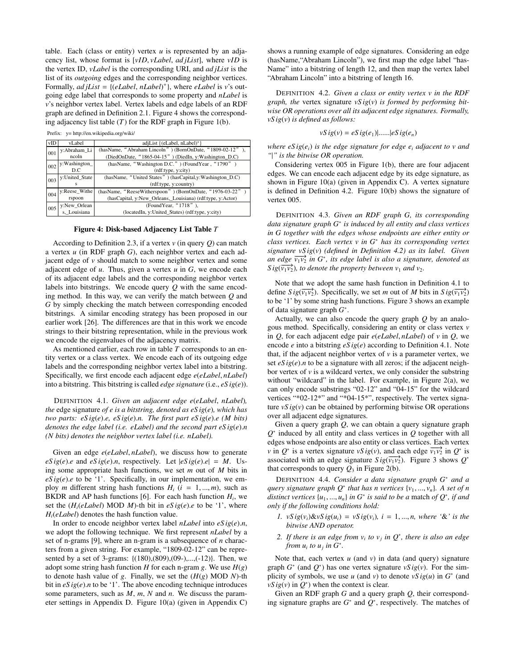table. Each (class or entity) vertex  $u$  is represented by an adjacency list, whose format is [*vID*, *vLabel*, *ad jList*], where *vID* is the vertex ID, *vLabel* is the corresponding URI, and *ad jList* is the list of its *outgoing* edges and the corresponding neighbor vertices. Formally, *ad jList* = {(*eLabel*, *nLabel*) <sup>+</sup>}, where *eLabel* is *v*'s outgoing edge label that corresponds to some property and *nLabel* is *v*'s neighbor vertex label. Vertex labels and edge labels of an RDF graph are defined in Definition 2.1. Figure 4 shows the corresponding adjacency list table  $(T)$  for the RDF graph in Figure 1(b).

Prefix: y= http://en.wikipedia.org/wiki/

| vID | vLabel         | adjList {(eLabel, nLabel)+}                                |
|-----|----------------|------------------------------------------------------------|
| 001 | y:Abraham_Li   | (hasName, "Abraham Lincoln") (BornOnDate, "1809-02-12"),   |
|     | ncoln          | (DiedOnDate, "1865-04-15") (DiedIn, y:Washington D.C)      |
| 002 | v:Washington_  | (hasName, "Washington D.C.") (FoundYear, "1790")           |
|     | D.C.           | (rdf:type, y:city)                                         |
| 003 | v:United State | (hasName, "United States") (hasCapital,y:Washington_D.C)   |
|     | s              | (rdf:type, y:country)                                      |
| 004 | v:Reese Withe  | (hasName, "ReeseWitherspoon") (BornOnDate, "1976-03-22")   |
|     | rspoon         | (hasCapital, y:New_Orleans, Louisiana) (rdf:type, y:Actor) |
| 005 | y:New_Orlean   | (FoundYear, "1718"),                                       |
|     | s, Louisiana   | (locatedIn, y:United_States) (rdf:type, y:city)            |

#### Figure 4: Disk-based Adjacency List Table *T*

According to Definition 2.3, if a vertex *v* (in query *Q*) can match a vertex *u* (in RDF graph *G*), each neighbor vertex and each adjacent edge of *v* should match to some neighbor vertex and some adjacent edge of *u*. Thus, given a vertex *u* in *G*, we encode each of its adjacent edge labels and the corresponding neighbor vertex labels into bitstrings. We encode query *Q* with the same encoding method. In this way, we can verify the match between *Q* and *G* by simply checking the match between corresponding encoded bitstrings. A similar encoding strategy has been proposed in our earlier work [26]. The differences are that in this work we encode strings to their bitstring representation, while in the previous work we encode the eigenvalues of the adjacency matrix.

As mentioned earlier, each row in table *T* corresponds to an entity vertex or a class vertex. We encode each of its outgoing edge labels and the corresponding neighbor vertex label into a bitstring. Specifically, we first encode each adjacent edge *e*(*eLabel*, *nLabel*) into a bitstring. This bitstring is called *edge signature* (i.e., *eS ig*(*e*)).

DEFINITION 4.1. *Given an adjacent edge e*(*eLabel*, *nLabel*)*, the* edge signature *of e is a bitstring, denoted as eS ig*(*e*)*, which has two parts: eS ig*(*e*).*e, eS ig*(*e*).*n. The first part eS ig*(*e*).*e (M bits) denotes the edge label (i.e. eLabel) and the second part eS ig*(*e*).*n (N bits) denotes the neighbor vertex label (i.e. nLabel).*

Given an edge *e*(*eLabel*, *nLabel*), we discuss how to generate  $eSig(e)$ .*e* and  $eSig(e)$ .*n*, respectively. Let  $|eSig(e)$ .*e*| = *M*. Using some appropriate hash functions, we set *m* out of *M* bits in  $eSig(e)$ .*e* to be '1'. Specifically, in our implementation, we employ *m* different string hash functions  $H_i$  ( $i = 1, ..., m$ ), such as BKDR and AP hash functions [6]. For each hash function  $H_i$ , we set the  $(H<sub>i</sub>(elabel) MOD M)$ -th bit in  $eSig(e)$ .*e* to be '1', where *Hi*(*eLabel*) denotes the hash function value.

In order to encode neighbor vertex label *nLabel* into *eS ig*(*e*).*n*, we adopt the following technique. We first represent *nLabel* by a set of n-grams [9], where an n-gram is a subsequence of *n* characters from a given string. For example, "1809-02-12" can be represented by a set of 3-grams: {(180),(809),(09-),...,(-12)}. Then, we adopt some string hash function *H* for each n-gram *g*. We use  $H(g)$ to denote hash value of *g*. Finally, we set the  $(H(g) \text{ MOD } N)$ -th bit in *eS ig*(*e*).*n* to be '1'. The above encoding technique introduces some parameters, such as *M*, *m*, *N* and *n*. We discuss the parameter settings in Appendix D. Figure 10(a) (given in Appendix C) shows a running example of edge signatures. Considering an edge (hasName,"Abraham Lincoln"), we first map the edge label "has-Name" into a bitstring of length 12, and then map the vertex label "Abraham Lincoln" into a bitstring of length 16.

DEFINITION 4.2. *Given a class or entity vertex v in the RDF graph, the* vertex signature *vS ig*(*v*) *is formed by performing bitwise OR operations over all its adjacent edge signatures. Formally, vS ig*(*v*) *is defined as follows:*

$$
vSig(v) = eSig(e_1)|......|eSig(e_n)
$$

*where*  $eSi(g(e_i)$  *is the edge signature for edge*  $e_i$  *adjacent to v and "*|*" is the bitwise OR operation.*

Considering vertex 005 in Figure 1(b), there are four adjacent edges. We can encode each adjacent edge by its edge signature, as shown in Figure  $10(a)$  (given in Appendix C). A vertex signature is defined in Definition 4.2. Figure 10(b) shows the signature of vertex 005.

DEFINITION 4.3. *Given an RDF graph G, its corresponding data signature graph G*<sup>∗</sup> *is induced by all entity and class vertices in G together with the edges whose endpoints are either entity or class vertices. Each vertex v in G*<sup>∗</sup> *has its corresponding vertex signature vS ig*(*v*) *(defined in Definition 4.2) as its label. Given an edge*  $\overline{v_1v_2}$  *in G<sup>\*</sup>*, *its edge label is also a signature, denoted as*  $Sig(\overrightarrow{v_1v_2})$ , *to denote the property between*  $v_1$  *and*  $v_2$ *.* 

Note that we adopt the same hash function in Definition 4.1 to define  $Sig(\overrightarrow{v_1v_2})$ . Specifically, we set *m* out of *M* bits in  $Sig(\overrightarrow{v_1v_2})$ to be '1' by some string hash functions. Figure 3 shows an example of data signature graph *G*<sup>∗</sup>.

Actually, we can also encode the query graph *Q* by an analogous method. Specifically, considering an entity or class vertex *v* in *Q*, for each adjacent edge pair *e*(*eLabel*, *nLabel*) of *v* in *Q*, we encode *e* into a bitstring *eS ig*(*e*) according to Definition 4.1. Note that, if the adjacent neighbor vertex of  $\nu$  is a parameter vertex, we set  $eSig(e)$ .*n* to be a signature with all zeros; if the adjacent neighbor vertex of  $\nu$  is a wildcard vertex, we only consider the substring without "wildcard" in the label. For example, in Figure 2(a), we can only encode substrings "02-12" and "04-15" for the wildcard vertices "\*02-12\*" and "\*04-15\*", respectively. The vertex signature  $vS \, ig(v)$  can be obtained by performing bitwise OR operations over all adjacent edge signatures.

Given a query graph *Q*, we can obtain a query signature graph *Q*<sup>∗</sup> induced by all entity and class vertices in *Q* together with all edges whose endpoints are also entity or class vertices. Each vertex *v* in  $Q^*$  is a vertex signature *vS ig*(*v*), and each edge  $\overline{v_1v_2}$  in  $Q^*$  is associated with an edge signature  $Sig(\overline{v_1v_2})$ . Figure 3 shows  $Q^*$ that corresponds to query  $Q_3$  in Figure 2(b).

DEFINITION 4.4. *Consider a data signature graph G*<sup>∗</sup> *and a query signature graph Q*<sup>∗</sup> *that has n vertices* {*v*1, ..., *vn*}*. A set of n distinct vertices* {*u*1, ..., *un*} *in G*<sup>∗</sup> *is said to be a* match *of Q*<sup>∗</sup>*, if and only if the following conditions hold:*

- *1.*  $vSig(v_i)\&vSig(u_i) = vSig(v_i), i = 1, ..., n$ , where '&' is the *bitwise AND operator.*
- *2. If there is an edge from*  $v_i$  *to*  $v_j$  *in*  $Q^*$ *, there is also an edge from*  $u_i$  *to*  $u_j$  *in*  $G^*$ *.*

Note that, each vertex *u* (and *v*) in data (and query) signature graph  $G^*$  (and  $Q^*$ ) has one vertex signature  $vSig(v)$ . For the simplicity of symbols, we use  $u$  (and  $v$ ) to denote  $vS \text{ } ig(u)$  in  $G^*$  (and *vS ig*(*v*) in  $Q^*$ ) when the context is clear.

Given an RDF graph *G* and a query graph *Q*, their corresponding signature graphs are *G*<sup>∗</sup> and *Q*<sup>∗</sup>, respectively. The matches of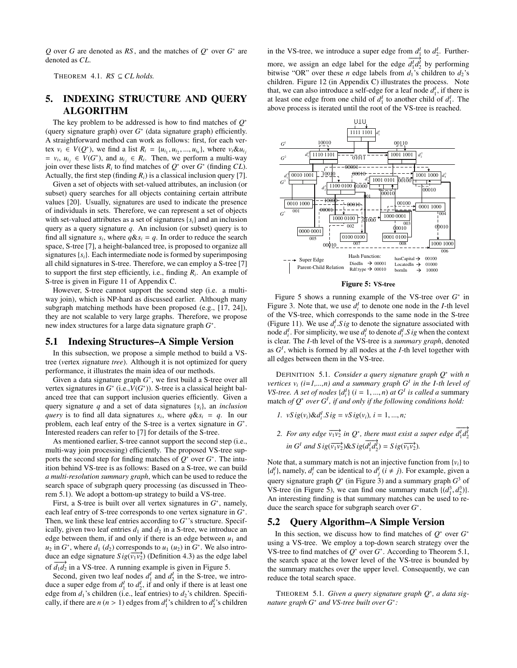*Q* over *G* are denoted as *RS* , and the matches of *Q*<sup>∗</sup> over *G*<sup>∗</sup> are denoted as *CL*.

THEOREM 4.1.  $RS \subseteq CL$  holds.

# 5. INDEXING STRUCTURE AND QUERY ALGORITHM

The key problem to be addressed is how to find matches of *Q*<sup>∗</sup> (query signature graph) over *G*<sup>∗</sup> (data signature graph) efficiently. A straightforward method can work as follows: first, for each vertex  $v_i \in V(Q^*)$ , we find a list  $R_i = \{u_{i_1}, u_{i_2}, ..., u_{i_n}\}$ , where  $v_i \& u_{i_j}$  $= v_i, u_{i_j} \in V(G^*)$ , and  $u_{i_j} \in R_i$ . Then, we perform a multi-way join over these lists  $R_i$  to find matches of  $Q^*$  over  $G^*$  (finding  $CL$ ). Actually, the first step (finding  $R_i$ ) is a classical inclusion query [7].

Given a set of objects with set-valued attributes, an inclusion (or subset) query searches for all objects containing certain attribute values [20]. Usually, signatures are used to indicate the presence of individuals in sets. Therefore, we can represent a set of objects with set-valued attributes as a set of signatures {*si*} and an inclusion query as a query signature *q*. An inclusion (or subset) query is to find all signature  $s_i$ , where  $q \& s_i = q$ . In order to reduce the search space, S-tree [7], a height-balanced tree, is proposed to organize all signatures{*si*}. Each intermediate node is formed by superimposing all child signatures in S-tree. Therefore, we can employ a S-tree [7] to support the first step efficiently, i.e., finding *Ri*. An example of S-tree is given in Figure 11 of Appendix C.

However, S-tree cannot support the second step (i.e. a multiway join), which is NP-hard as discussed earlier. Although many subgraph matching methods have been proposed (e.g., [17, 24]), they are not scalable to very large graphs. Therefore, we propose new index structures for a large data signature graph *G*<sup>∗</sup>.

#### 5.1 Indexing Structures–A Simple Version

In this subsection, we propose a simple method to build a VStree (*v*ertex *s*ignature *tree*). Although it is not optimized for query performance, it illustrates the main idea of our methods.

Given a data signature graph *G*<sup>∗</sup>, we first build a S-tree over all vertex signatures in *G*<sup>∗</sup> (i.e.,*V*(*G*<sup>∗</sup>)). S-tree is a classical height balanced tree that can support inclusion queries efficiently. Given a query signature *q* and a set of data signatures {*si*}, an *inclusion query* is to find all data signatures  $s_i$ , where  $q \& s_i = q$ . In our problem, each leaf entry of the S-tree is a vertex signature in *G*<sup>∗</sup>. Interested readers can refer to [7] for details of the S-tree.

As mentioned earlier, S-tree cannot support the second step (i.e., multi-way join processing) efficiently. The proposed VS-tree supports the second step for finding matches of *Q*<sup>∗</sup> over *G*<sup>∗</sup>. The intuition behind VS-tree is as follows: Based on a S-tree, we can build *a multi-resolution summary graph*, which can be used to reduce the search space of subgraph query processing (as discussed in Theorem 5.1). We adopt a bottom-up strategy to build a VS-tree.

First, a S-tree is built over all vertex signatures in *G*<sup>∗</sup>, namely, each leaf entry of S-tree corresponds to one vertex signature in *G*<sup>∗</sup>. Then, we link these leaf entries according to *G*<sup>∗</sup>'s structure. Specifically, given two leaf entries  $d_1$  and  $d_2$  in a S-tree, we introduce an edge between them, if and only if there is an edge between  $u_1$  and  $u_2$  in  $G^*$ , where  $d_1$  ( $d_2$ ) corresponds to  $u_1$  ( $u_2$ ) in  $G^*$ . We also introduce an edge signature  $Sig(\overline{v_1v_2})$  (Definition 4.3) as the edge label of  $d_1 d_2$  in a VS-tree. A running example is given in Figure 5.

Second, given two leaf nodes  $d_1^I$  and  $d_2^I$  in the S-tree, we introduce a super edge from  $d_1^I$  to  $d_2^I$ , if and only if there is at least one edge from  $d_1$ 's children (i.e., leaf entries) to  $d_2$ 's children. Specifi-

cally, if there are  $n (n > 1)$  edges from  $d_1^I$ 's children to  $d_2^I$ 's children

in the VS-tree, we introduce a super edge from  $d_1^I$  to  $d_2^I$ . Furthermore, we assign an edge label for the edge  $\frac{1}{d'_1 d'_2}$  by performing bitwise "OR" over these *n* edge labels from  $d_1$ 's children to  $d_2$ 's children. Figure 12 (in Appendix C) illustrates the process. Note that, we can also introduce a self-edge for a leaf node  $d_1^I$ , if there is at least one edge from one child of  $d_1^I$  to another child of  $d_1^I$ . The above process is iterated until the root of the VS-tree is reached.



Figure 5: VS-tree

Figure 5 shows a running example of the VS-tree over *G*<sup>∗</sup> in Figure 3. Note that, we use  $d_i^I$  to denote one node in the *I*-th level of the VS-tree, which corresponds to the same node in the S-tree (Figure 11). We use  $d_i^I \cdot S$  *ig* to denote the signature associated with node  $d_i^I$ . For simplicity, we use  $d_i^I$  to denote  $d_i^I$ . *S ig* when the context is clear. The *I*-th level of the VS-tree is a *summary graph*, denoted as  $G<sup>I</sup>$ , which is formed by all nodes at the *I*-th level together with all edges between them in the VS-tree.

DEFINITION 5.1. *Consider a query signature graph Q*<sup>∗</sup> *with n vertices v<sub>i</sub>*  $(i=1,...,n)$  and a summary graph  $G<sup>I</sup>$  *in the I-th level of VS-tree. A set of nodes*  $\{d_i^I\}$  ( $i = 1, ..., n$ ) *at*  $G^I$  *is called a* summary match *of Q*<sup>∗</sup> *over G<sup>I</sup> , if and only if the following conditions hold:*

- *1.*  $vS \, ig(v_i) \& d_i^I \, S \, ig = vS \, ig(v_i), \, i = 1, \ldots, n;$
- 2. For any edge  $\overrightarrow{v_1v_2}$  in  $Q^*$ , there must exist a super edge  $\overrightarrow{d_1d_2'}$  $\lim G^I$  *and*  $S$  *ig*( $\overrightarrow{v_1v_2}$ )& $S$  *ig*( $\overrightarrow{d_1d_2}$ ) =  $S$  *ig*( $\overrightarrow{v_1v_2}$ )*.*

Note that, a summary match is not an injective function from  $\{v_i\}$  to  ${d_i^I}$ , namely,  $d_i^I$  can be identical to  $d_j^I$  ( $i \neq j$ ). For example, given a query signature graph  $Q^*$  (in Figure 3) and a summary graph  $G^3$  of VS-tree (in Figure 5), we can find one summary match  $\{(d_1^3, d_2^3)\}.$ An interesting finding is that summary matches can be used to reduce the search space for subgraph search over *G*<sup>∗</sup>.

# 5.2 Query Algorithm–A Simple Version

In this section, we discuss how to find matches of  $Q^*$  over  $G^*$ using a VS-tree. We employ a top-down search strategy over the VS-tree to find matches of *Q*<sup>∗</sup> over *G*<sup>∗</sup>. According to Theorem 5.1, the search space at the lower level of the VS-tree is bounded by the summary matches over the upper level. Consequently, we can reduce the total search space.

THEOREM 5.1. *Given a query signature graph Q*<sup>∗</sup>*, a data signature graph G*<sup>∗</sup> *and VS-tree built over G*<sup>∗</sup>*:*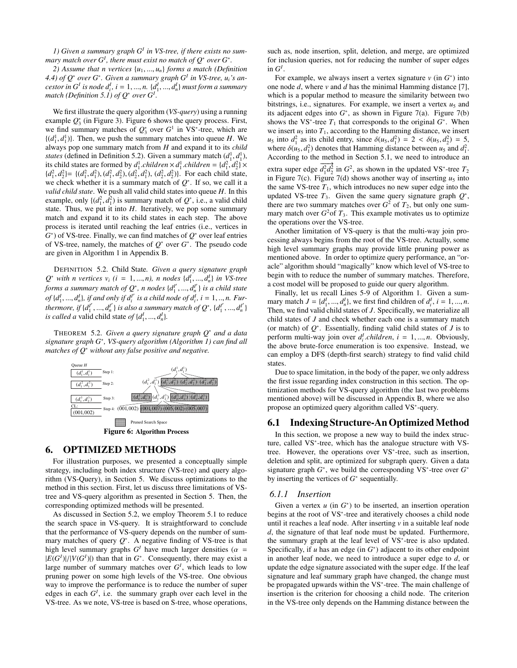*1) Given a summary graph G<sup>I</sup> in VS-tree, if there exists no sum*mary match over  $G^I$ , there must exist no match of  $Q^*$  over  $G^*$ .

*2) Assume that n vertices* {*u*1, ..., *un*} *forms a match (Definition 4.4) of Q*<sup>∗</sup> *over G*<sup>∗</sup>*. Given a summary graph G<sup>I</sup> in VS-tree, ui's ancestor in G<sup>I</sup> is node*  $d_i^I$ *,*  $i = 1, ..., n$ *.*  $\{d_1^I, ..., d_n^I\}$  *must form a summary match (Definition 5.1) of Q*<sup>∗</sup> *over G<sup>I</sup> .*

We first illustrate the query algorithm (*VS-query*) using a running example *Q*<sup>∗</sup> <sup>3</sup> (in Figure 3). Figure 6 shows the query process. First, we find summary matches of  $Q_3^*$  over  $G^1$  in  $VS^*$ -tree, which are  $\{(d_1^1, d_1^1)\}\$ . Then, we push the summary matches into queue *H*. We always pop one summary match from *H* and expand it to its *child states* (defined in Definition 5.2). Given a summary match  $(d_1^1, d_1^1)$ , its child states are formed by  $d_1^1$  *children*  $\times d_1^1$  *children* = { $d_1^2$ ,  $d_2^2$ }  $\times$  ${d_1^2, d_2^2} = {(d_1^2, d_1^2), (d_1^2, d_2^2), (d_2^2, d_1^2), (d_2^2, d_2^2)}$ . For each child state, we check whether it is a summary match of *Q*<sup>∗</sup>. If so, we call it a *valid child state*. We push all valid child states into queue *H*. In this example, only  $\{(d_1^2, d_1^2)$  is summary match of  $Q^*$ , i.e., a valid child state. Thus, we put it into *H*. Iteratively, we pop some summary match and expand it to its child states in each step. The above process is iterated until reaching the leaf entries (i.e., vertices in *G*<sup>∗</sup>) of VS-tree. Finally, we can find matches of *Q*<sup>∗</sup> over leaf entries of VS-tree, namely, the matches of *Q*<sup>∗</sup> over *G*<sup>∗</sup>. The pseudo code are given in Algorithm 1 in Appendix B.

DEFINITION 5.2. Child State*. Given a query signature graph*  $Q^*$  *with n vertices*  $v_i$  ( $i = 1, ..., n$ ), *n nodes*  $\{d_1^1, ..., d_n^1\}$  *in VS-tree forms a summary match of Q*<sup>∗</sup>*, n nodes* {*d<sup>I</sup>* <sup>1</sup> , ..., *<sup>d</sup><sup>I</sup> <sup>n</sup>* } *is a child state of*  $\{d_1^I, ..., d_n^I\}$ *, if and only if*  $d_i^{I'}$  *is a child node of*  $d_i^I$ *, i* = 1, .., *n. Furthermore, if*  $\{d_1^{l'}, ..., d_n^{l'}\}$  *is also a summary match of*  $Q^*$ *,*  $\{d_1^{l'}, ..., d_n^{l'}\}$ *is called a* valid child state of  $\{d_1^I, ..., d_n^I\}$ *.* 

THEOREM 5.2. *Given a query signature graph Q*<sup>∗</sup> *and a data signature graph G*<sup>∗</sup>*, VS-query algorithm (Algorithm 1) can find all matches of Q*<sup>∗</sup> *without any false positive and negative.*



# 6. OPTIMIZED METHODS

For illustration purposes, we presented a conceptually simple strategy, including both index structure (VS-tree) and query algorithm (VS-Query), in Section 5. We discuss optimizations to the method in this section. First, let us discuss three limitations of VStree and VS-query algorithm as presented in Section 5. Then, the corresponding optimized methods will be presented.

As discussed in Section 5.2, we employ Theorem 5.1 to reduce the search space in VS-query. It is straightforward to conclude that the performance of VS-query depends on the number of summary matches of query  $Q^*$ . A negative finding of VS-tree is that high level summary graphs  $G<sup>I</sup>$  have much larger densities ( $\alpha$  =  $|E(G^I)|/|V(G^I)|$ ) than that in  $G^*$ . Consequently, there may exist a large number of summary matches over *G<sup>I</sup>* , which leads to low pruning power on some high levels of the VS-tree. One obvious way to improve the performance is to reduce the number of super edges in each  $G<sup>I</sup>$ , i.e. the summary graph over each level in the VS-tree. As we note, VS-tree is based on S-tree, whose operations,

such as, node insertion, split, deletion, and merge, are optimized for inclusion queries, not for reducing the number of super edges in  $G^I$ .

For example, we always insert a vertex signature  $\nu$  (in  $G^*$ ) into one node *d*, where *v* and *d* has the minimal Hamming distance [7], which is a popular method to measure the similarity between two bitstrings, i.e., signatures. For example, we insert a vertex  $u_5$  and its adjacent edges into  $G^*$ , as shown in Figure 7(a). Figure 7(b) shows the VS<sup> $*$ -tree  $T_1$  that corresponds to the original  $G^*$ . When</sup> we insert  $u_5$  into  $T_1$ , according to the Hamming distance, we insert *u*<sub>5</sub> into  $d_1^2$  as its child entry, since  $\delta(u_5, d_1^2) = 2 < \delta(u_5, d_2^2) = 5$ , where  $\delta(u_5, d_1^2)$  denotes that Hamming distance between  $u_5$  and  $d_1^2$ . According to the method in Section 5.1, we need to introduce an extra super edge  $d_1^2 d_2^2$  in  $G^2$ , as shown in the updated VS<sup>\*</sup>-tree  $T_2$ in Figure 7(c). Figure 7(d) shows another way of inserting  $u_5$  into the same VS-tree  $T_1$ , which introduces no new super edge into the updated VS-tree  $T_3$ . Given the same query signature graph  $Q^*$ , there are two summary matches over  $G^2$  of  $T_2$ , but only one summary match over  $G^2$  of  $T_3$ . This example motivates us to optimize the operations over the VS-tree.

Another limitation of VS-query is that the multi-way join processing always begins from the root of the VS-tree. Actually, some high level summary graphs may provide little pruning power as mentioned above. In order to optimize query performance, an "oracle" algorithm should "magically" know which level of VS-tree to begin with to reduce the number of summary matches. Therefore, a cost model will be proposed to guide our query algorithm.

Finally, let us recall Lines 5-9 of Algorithm 1. Given a summary match  $J = \{d_1^I, ..., d_n^I\}$ , we first find children of  $d_i^I, i = 1, ..., n$ . Then, we find valid child states of *J*. Specifically, we materialize all child states of *J* and check whether each one is a summary match (or match) of *Q*<sup>∗</sup>. Essentially, finding valid child states of *J* is to perform multi-way join over  $d_i^I$ .*children*,  $i = 1, ..., n$ . Obviously, the above brute-force enumeration is too expensive. Instead, we can employ a DFS (depth-first search) strategy to find valid child states.

Due to space limitation, in the body of the paper, we only address the first issue regarding index construction in this section. The optimization methods for VS-query algorithm (the last two problems mentioned above) will be discussed in Appendix B, where we also propose an optimized query algorithm called VS<sup>∗</sup>-query.

# 6.1 Indexing Structure-An Optimized Method

In this section, we propose a new way to build the index structure, called VS<sup>∗</sup>-tree, which has the analogue structure with VStree. However, the operations over VS<sup>∗</sup>-tree, such as insertion, deletion and split, are optimized for subgraph query. Given a data signature graph *G*<sup>∗</sup>, we build the corresponding VS<sup>∗</sup>-tree over *G*<sup>∗</sup> by inserting the vertices of *G*<sup>∗</sup> sequentially.

#### *6.1.1 Insertion*

Given a vertex  $u$  (in  $G^*$ ) to be inserted, an insertion operation begins at the root of VS<sup>∗</sup>-tree and iteratively chooses a child node until it reaches a leaf node. After inserting *v* in a suitable leaf node *d*, the signature of that leaf node must be updated. Furthermore, the summary graph at the leaf level of VS<sup>∗</sup>-tree is also updated. Specifically, if  $u$  has an edge (in  $G^*$ ) adjacent to its other endpoint in another leaf node, we need to introduce a super edge to *d*, or update the edge signature associated with the super edge. If the leaf signature and leaf summary graph have changed, the change must be propagated upwards within the VS<sup>∗</sup>-tree. The main challenge of insertion is the criterion for choosing a child node. The criterion in the VS-tree only depends on the Hamming distance between the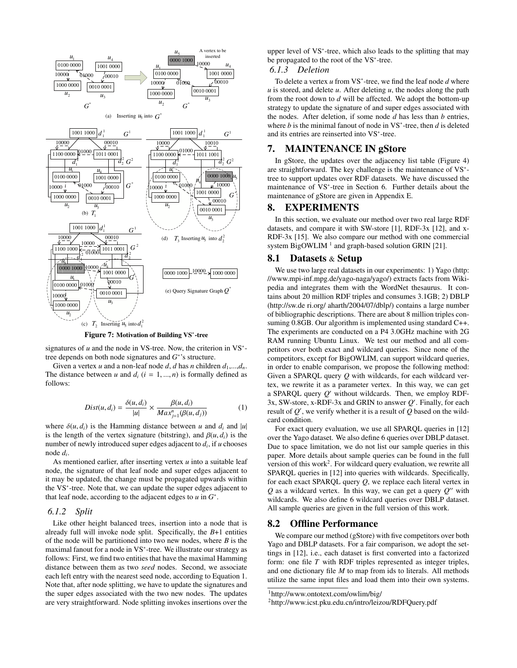

Figure 7: Motivation of Building VS∗-tree

signatures of *u* and the node in VS-tree. Now, the criterion in VS<sup>\*</sup>tree depends on both node signatures and *G*<sup>∗</sup>'s structure.

Given a vertex *u* and a non-leaf node *d*, *d* has *n* children  $d_1$ ,..., $d_n$ . The distance between *u* and  $d_i$  ( $i = 1, ..., n$ ) is formally defined as follows:

$$
Dist(u, d_i) = \frac{\delta(u, d_i)}{|u|} \times \frac{\beta(u, d_i)}{Max_{j=1}^n(\beta(u, d_j))}
$$
(1)

where  $\delta(u, d_i)$  is the Hamming distance between *u* and  $d_i$  and  $|u|$ is the length of the vertex signature (bitstring), and  $\beta(u, d_i)$  is the number of newly introduced super edges adjacent to *di*, if *u* chooses node *di*.

As mentioned earlier, after inserting vertex *u* into a suitable leaf node, the signature of that leaf node and super edges adjacent to it may be updated, the change must be propagated upwards within the VS<sup>∗</sup>-tree. Note that, we can update the super edges adjacent to that leaf node, according to the adjacent edges to *u* in *G*<sup>∗</sup>.

#### *6.1.2 Split*

Like other height balanced trees, insertion into a node that is already full will invoke node split. Specifically, the *B*+1 entities of the node will be partitioned into two new nodes, where *B* is the maximal fanout for a node in VS<sup>∗</sup>-tree. We illustrate our strategy as follows: First, we find two entities that have the maximal Hamming distance between them as two *seed* nodes. Second, we associate each left entry with the nearest seed node, according to Equation 1. Note that, after node splitting, we have to update the signatures and the super edges associated with the two new nodes. The updates are very straightforward. Node splitting invokes insertions over the

upper level of VS<sup>\*</sup>-tree, which also leads to the splitting that may be propagated to the root of the VS<sup>∗</sup>-tree.

# *6.1.3 Deletion*

To delete a vertex *u* from VS<sup>∗</sup>-tree, we find the leaf node *d* where  $u$  is stored, and delete  $u$ . After deleting  $u$ , the nodes along the path from the root down to *d* will be affected. We adopt the bottom-up strategy to update the signature of and super edges associated with the nodes. After deletion, if some node *d* has less than *b* entries, where *b* is the minimal fanout of node in VS<sup>∗</sup>-tree, then *d* is deleted and its entries are reinserted into VS<sup>∗</sup>-tree.

# 7. MAINTENANCE IN gStore

In gStore, the updates over the adjacency list table (Figure 4) are straightforward. The key challenge is the maintenance of VS<sup>∗</sup> tree to support updates over RDF datasets. We have discussed the maintenance of VS<sup>∗</sup>-tree in Section 6. Further details about the maintenance of gStore are given in Appendix E.

# 8. EXPERIMENTS

In this section, we evaluate our method over two real large RDF datasets, and compare it with SW-store [1], RDF-3x [12], and x-RDF-3x [15]. We also compare our method with one commercial system BigOWLIM<sup>1</sup> and graph-based solution GRIN [21].

# 8.1 Datasets & Setup

We use two large real datasets in our experiments: 1) Yago (http: //www.mpi-inf.mpg.de/yago-naga/yago/) extracts facts from Wikipedia and integrates them with the WordNet thesaurus. It contains about 20 million RDF triples and consumes 3.1GB; 2) DBLP (http://sw.de ri.org/ aharth/2004/07/dblp/) contains a large number of bibliographic descriptions. There are about 8 million triples consuming 0.8GB. Our algorithm is implemented using standard C++. The experiments are conducted on a P4 3.0GHz machine with 2G RAM running Ubuntu Linux. We test our method and all competitors over both exact and wildcard queries. Since none of the competitors, except for BigOWLIM, can support wildcard queries, in order to enable comparison, we propose the following method: Given a SPARQL query *Q* with wildcards, for each wildcard vertex, we rewrite it as a parameter vertex. In this way, we can get a SPARQL query  $Q'$  without wildcards. Then, we employ RDF-3x, SW-store, x-RDF-3x and GRIN to answer Q'. Finally, for each result of  $Q'$ , we verify whether it is a result of  $Q$  based on the wildcard condition.

For exact query evaluation, we use all SPARQL queries in [12] over the Yago dataset. We also define 6 queries over DBLP dataset. Due to space limitation, we do not list our sample queries in this paper. More details about sample queries can be found in the full version of this work<sup>2</sup>. For wildcard query evaluation, we rewrite all SPARQL queries in [12] into queries with wildcards. Specifically, for each exact SPARQL query *Q*, we replace each literal vertex in  $Q$  as a wildcard vertex. In this way, we can get a query  $Q$ <sup>*''*</sup> with wildcards. We also define 6 wildcard queries over DBLP dataset. All sample queries are given in the full version of this work.

# 8.2 Offline Performance

We compare our method (gStore) with five competitors over both Yago and DBLP datasets. For a fair comparison, we adopt the settings in [12], i.e., each dataset is first converted into a factorized form: one file *T* with RDF triples represented as integer triples, and one dictionary file *M* to map from ids to literals. All methods utilize the same input files and load them into their own systems.

<sup>1</sup>http://www.ontotext.com/owlim/big/

<sup>2</sup>http://www.icst.pku.edu.cn/intro/leizou/RDFQuery.pdf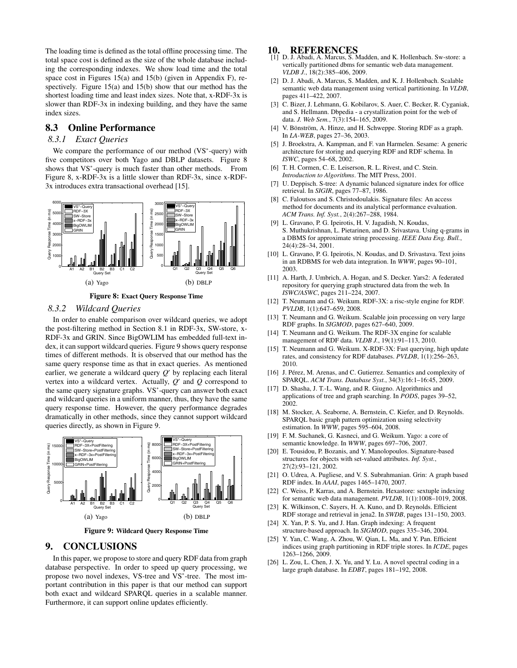The loading time is defined as the total offline processing time. The total space cost is defined as the size of the whole database including the corresponding indexes. We show load time and the total space cost in Figures 15(a) and 15(b) (given in Appendix F), respectively. Figure 15(a) and 15(b) show that our method has the shortest loading time and least index sizes. Note that, x-RDF-3x is slower than RDF-3x in indexing building, and they have the same index sizes.

# 8.3 Online Performance

# *8.3.1 Exact Queries*

We compare the performance of our method (VS<sup>∗</sup>-query) with five competitors over both Yago and DBLP datasets. Figure 8 shows that VS<sup>\*</sup>-query is much faster than other methods. From Figure 8, x-RDF-3x is a little slower than RDF-3x, since x-RDF-3x introduces extra transactional overhead [15].



Figure 8: Exact Query Response Time

#### *8.3.2 Wildcard Queries*

In order to enable comparison over wildcard queries, we adopt the post-filtering method in Section 8.1 in RDF-3x, SW-store, x-RDF-3x and GRIN. Since BigOWLIM has embedded full-text index, it can support wildcard queries. Figure 9 shows query response times of different methods. It is observed that our method has the same query response time as that in exact queries. As mentioned earlier, we generate a wildcard query  $Q'$  by replacing each literal vertex into a wildcard vertex. Actually,  $Q'$  and  $Q$  correspond to the same query signature graphs. VS<sup>∗</sup>-query can answer both exact and wildcard queries in a uniform manner, thus, they have the same query response time. However, the query performance degrades dramatically in other methods, since they cannot support wildcard queries directly, as shown in Figure 9.



Figure 9: Wildcard Query Response Time

# 9. CONCLUSIONS

In this paper, we propose to store and query RDF data from graph database perspective. In order to speed up query processing, we propose two novel indexes, VS-tree and VS<sup>∗</sup>-tree. The most important contribution in this paper is that our method can support both exact and wildcard SPARQL queries in a scalable manner. Furthermore, it can support online updates efficiently.

- 10. REFERENCES<br>[1] D. J. Abadi, A. Marcus, S. Madden, and K. Hollenbach. Sw-store: a vertically partitioned dbms for semantic web data management. *VLDB J.*, 18(2):385–406, 2009.
- [2] D. J. Abadi, A. Marcus, S. Madden, and K. J. Hollenbach. Scalable semantic web data management using vertical partitioning. In *VLDB*, pages 411–422, 2007.
- [3] C. Bizer, J. Lehmann, G. Kobilarov, S. Auer, C. Becker, R. Cyganiak, and S. Hellmann. Dbpedia - a crystallization point for the web of data. *J. Web Sem.*, 7(3):154–165, 2009.
- [4] V. Bönström, A. Hinze, and H. Schweppe. Storing RDF as a graph. In *LA-WEB*, pages 27–36, 2003.
- [5] J. Broekstra, A. Kampman, and F. van Harmelen. Sesame: A generic architecture for storing and querying RDF and RDF schema. In *ISWC*, pages 54–68, 2002.
- [6] T. H. Cormen, C. E. Leiserson, R. L. Rivest, and C. Stein. *Introduction to Algorithms*. The MIT Press, 2001.
- [7] U. Deppisch. S-tree: A dynamic balanced signature index for office retrieval. In *SIGIR*, pages 77–87, 1986.
- [8] C. Faloutsos and S. Christodoulakis. Signature files: An access method for documents and its analytical performance evaluation. *ACM Trans. Inf. Syst.*, 2(4):267–288, 1984.
- [9] L. Gravano, P. G. Ipeirotis, H. V. Jagadish, N. Koudas, S. Muthukrishnan, L. Pietarinen, and D. Srivastava. Using q-grams in a DBMS for approximate string processing. *IEEE Data Eng. Bull.*, 24(4):28–34, 2001.
- [10] L. Gravano, P. G. Ipeirotis, N. Koudas, and D. Srivastava. Text joins in an RDBMS for web data integration. In *WWW*, pages 90–101, 2003.
- [11] A. Harth, J. Umbrich, A. Hogan, and S. Decker. Yars2: A federated repository for querying graph structured data from the web. In *ISWC/ASWC*, pages 211–224, 2007.
- [12] T. Neumann and G. Weikum. RDF-3X: a risc-style engine for RDF. *PVLDB*, 1(1):647–659, 2008.
- [13] T. Neumann and G. Weikum. Scalable join processing on very large RDF graphs. In *SIGMOD*, pages 627–640, 2009.
- [14] T. Neumann and G. Weikum. The RDF-3X engine for scalable management of RDF data. *VLDB J.*, 19(1):91–113, 2010.
- [15] T. Neumann and G. Weikum. X-RDF-3X: Fast querying, high update rates, and consistency for RDF databases. *PVLDB*, 1(1):256–263, 2010.
- [16] J. Pérez, M. Arenas, and C. Gutierrez. Semantics and complexity of SPARQL. *ACM Trans. Database Syst.*, 34(3):16:1–16:45, 2009.
- [17] D. Shasha, J. T.-L. Wang, and R. Giugno. Algorithmics and applications of tree and graph searching. In *PODS*, pages 39–52, 2002.
- [18] M. Stocker, A. Seaborne, A. Bernstein, C. Kiefer, and D. Reynolds. SPARQL basic graph pattern optimization using selectivity estimation. In *WWW*, pages 595–604, 2008.
- [19] F. M. Suchanek, G. Kasneci, and G. Weikum. Yago: a core of semantic knowledge. In *WWW*, pages 697–706, 2007.
- [20] E. Tousidou, P. Bozanis, and Y. Manolopoulos. Signature-based structures for objects with set-valued attributes. *Inf. Syst.*, 27(2):93–121, 2002.
- [21] O. Udrea, A. Pugliese, and V. S. Subrahmanian. Grin: A graph based RDF index. In *AAAI*, pages 1465–1470, 2007.
- [22] C. Weiss, P. Karras, and A. Bernstein. Hexastore: sextuple indexing for semantic web data management. *PVLDB*, 1(1):1008–1019, 2008.
- [23] K. Wilkinson, C. Sayers, H. A. Kuno, and D. Reynolds. Efficient RDF storage and retrieval in jena2. In *SWDB*, pages 131–150, 2003.
- [24] X. Yan, P. S. Yu, and J. Han. Graph indexing: A frequent structure-based approach. In *SIGMOD*, pages 335–346, 2004.
- [25] Y. Yan, C. Wang, A. Zhou, W. Qian, L. Ma, and Y. Pan. Efficient indices using graph partitioning in RDF triple stores. In *ICDE*, pages 1263–1266, 2009.
- [26] L. Zou, L. Chen, J. X. Yu, and Y. Lu. A novel spectral coding in a large graph database. In *EDBT*, pages 181–192, 2008.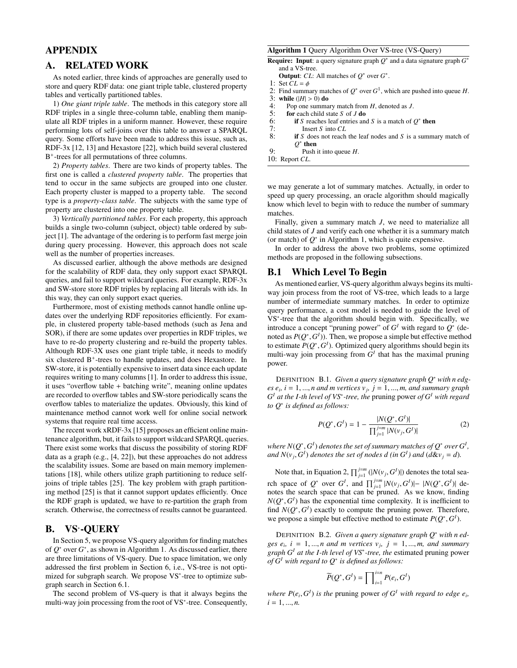# APPENDIX

# A. RELATED WORK

As noted earlier, three kinds of approaches are generally used to store and query RDF data: one giant triple table, clustered property tables and vertically partitioned tables.

1) *One giant triple table*. The methods in this category store all RDF triples in a single three-column table, enabling them manipulate all RDF triples in a uniform manner. However, these require performing lots of self-joins over this table to answer a SPARQL query. Some efforts have been made to address this issue, such as, RDF-3x [12, 13] and Hexastore [22], which build several clustered B<sup>+</sup>-trees for all permutations of three columns.

2) *Property tables*. There are two kinds of property tables. The first one is called a *clustered property table*. The properties that tend to occur in the same subjects are grouped into one cluster. Each property cluster is mapped to a property table. The second type is a *property-class table*. The subjects with the same type of property are clustered into one property table.

3) *Vertically partitioned tables*. For each property, this approach builds a single two-column (subject, object) table ordered by subject [1]. The advantage of the ordering is to perform fast merge join during query processing. However, this approach does not scale well as the number of properties increases.

As discussed earlier, although the above methods are designed for the scalability of RDF data, they only support exact SPARQL queries, and fail to support wildcard queries. For example, RDF-3x and SW-store store RDF triples by replacing all literals with ids. In this way, they can only support exact queries.

Furthermore, most of existing methods cannot handle online updates over the underlying RDF repositories efficiently. For example, in clustered property table-based methods (such as Jena and SOR), if there are some updates over properties in RDF triples, we have to re-do property clustering and re-build the property tables. Although RDF-3X uses one giant triple table, it needs to modify six clustered B<sup>+</sup>-trees to handle updates, and does Hexastore. In SW-store, it is potentially expensive to insert data since each update requires writing to many columns [1]. In order to address this issue, it uses "overflow table + batching write", meaning online updates are recorded to overflow tables and SW-store periodically scans the overflow tables to materialize the updates. Obviously, this kind of maintenance method cannot work well for online social network systems that require real time access.

The recent work xRDF-3x [15] proposes an efficient online maintenance algorithm, but, it fails to support wildcard SPARQL queries. There exist some works that discuss the possibility of storing RDF data as a graph (e.g., [4, 22]), but these approaches do not address the scalability issues. Some are based on main memory implementations [18], while others utilize graph partitioning to reduce selfjoins of triple tables [25]. The key problem with graph partitioning method [25] is that it cannot support updates efficiently. Once the RDF graph is updated, we have to re-partition the graph from scratch. Otherwise, the correctness of results cannot be guaranteed.

# B. VS∗-QUERY

In Section 5, we propose VS-query algorithm for finding matches of *Q*<sup>∗</sup> over *G*<sup>∗</sup>, as shown in Algorithm 1. As discussed earlier, there are three limitations of VS-query. Due to space limitation, we only addressed the first problem in Section 6, i.e., VS-tree is not optimized for subgraph search. We propose VS<sup>∗</sup>-tree to optimize subgraph search in Section 6.1.

The second problem of VS-query is that it always begins the multi-way join processing from the root of VS<sup>∗</sup>-tree. Consequently,

#### Algorithm 1 Query Algorithm Over VS-tree (VS-Query)

Require: Input: a query signature graph *Q*<sup>∗</sup> and a data signature graph *G*<sup>∗</sup> and a VS-tree.

**Output:** *CL*: All matches of  $O^*$  over  $G^*$ .

- 1: Set  $CL = \phi$
- 2: Find summary matches of  $O^*$  over  $G^1$ , which are pushed into queue *H*.
- 3: while  $(|H| > 0)$  do<br>4. Pop one summa
- 4: Pop one summary match from  $H$ , denoted as  $J$ .<br>5: **for** each child state  $S$  of  $J$  **do**
- 5: **for** each child state *S* of *J* do<br>6: **if** *S* reaches leaf entries and
- 6: if *S* reaches leaf entries and *S* is a match of  $Q^*$  then<br>7: Insert *S* into *CL*
- 7: Insert *S* into *CL*<br>8: **if** *S* does not reach
- if  $S$  does not reach the leaf nodes and  $S$  is a summary match of *Q*<sup>∗</sup> then

9: Push it into queue *H*.

10: Report *CL*.

we may generate a lot of summary matches. Actually, in order to speed up query processing, an oracle algorithm should magically know which level to begin with to reduce the number of summary matches.

Finally, given a summary match *J*, we need to materialize all child states of *J* and verify each one whether it is a summary match (or match) of *Q*<sup>∗</sup> in Algorithm 1, which is quite expensive.

In order to address the above two problems, some optimized methods are proposed in the following subsections.

# B.1 Which Level To Begin

As mentioned earlier, VS-query algorithm always begins its multiway join process from the root of VS-tree, which leads to a large number of intermediate summary matches. In order to optimize query performance, a cost model is needed to guide the level of VS<sup>∗</sup>-tree that the algorithm should begin with. Specifically, we introduce a concept "pruning power" of  $G<sup>I</sup>$  with regard to  $Q^*$  (denoted as *P*(*Q*<sup>∗</sup>,*G<sup>I</sup>* )). Then, we propose a simple but effective method to estimate *P*(*Q*<sup>∗</sup>,*G<sup>I</sup>* ). Optimized query algorithms should begin its multi-way join processing from  $G<sup>I</sup>$  that has the maximal pruning power.

DEFINITION B.1. *Given a query signature graph Q*<sup>∗</sup> *with n edges e<sub>i</sub>*,  $i = 1, ..., n$  *and m vertices v<sub>j</sub>,*  $j = 1, ..., m$ *, and summary graph*  $G<sup>I</sup>$  *at the I-th level of VS<sup>\*</sup>-tree, the pruning power of*  $G<sup>I</sup>$  *with regard to Q*<sup>∗</sup> *is defined as follows:*

$$
P(Q^*, G^I) = 1 - \frac{|N(Q^*, G^I)|}{\prod_{j=1}^{j=m} |N(v_j, G^I)|}
$$
(2)

where  $N(Q^*,G^I)$  denotes the set of summary matches of  $Q^*$  over  $G^I$  , *and*  $N(v_j, G^I)$  *denotes the set of nodes d (in*  $G^I$ ) *and*  $(d\&v_j = d)$ *.* 

Note that, in Equation 2,  $\prod_{j=1}^{j=m} (|N(v_j, G^I)|)$  denotes the total search space of  $Q^*$  over  $G^I$ , and  $\prod_{j=1}^{j=m} |N(v_j, G^I)| - |N(Q^*, G^I)|$  denotes the search space that can be pruned. As we know, finding  $N(Q^*, G^I)$  has the exponential time complexity. It is inefficient to find  $N(Q^*, G^I)$  exactly to compute the pruning power. Therefore, we propose a simple but effective method to estimate  $P(Q^*, G^I)$ .

DEFINITION B.2. *Given a query signature graph Q*<sup>∗</sup> *with n edges e<sub>i</sub>*,  $i = 1, ..., n$  and *m* vertices  $v_j$ ,  $j = 1, ..., m$ , and summary *graph G<sup>I</sup> at the I-th level of VS*<sup>∗</sup>*-tree, the* estimated pruning power *of G<sup>I</sup> with regard to Q*<sup>∗</sup> *is defined as follows:*

$$
\widetilde{P}(Q^*,G^I) = \prod_{i=1}^{i=n} P(e_i, G^I)
$$

*where*  $P(e_i, G^I)$  *is the pruning power of*  $G^I$  *with regard to edge*  $e_i$ *,*  $i = 1, ..., n$ .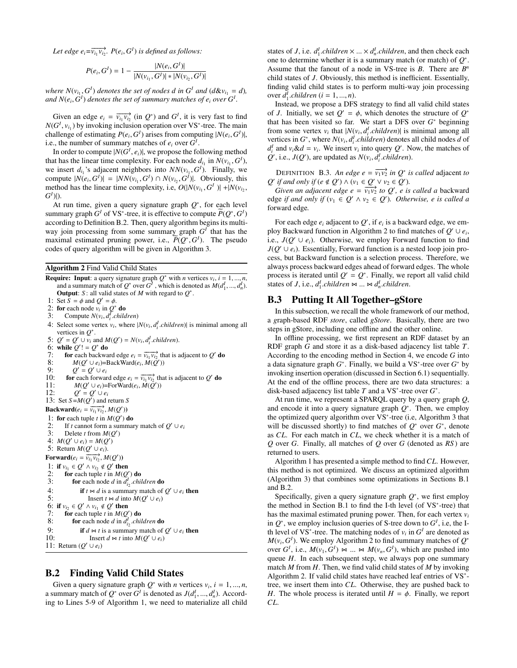*Let edge*  $e_i = \overrightarrow{v_{i_1} v_{i_2}}$ *.*  $P(e_i, G^I)$  *is defined as follows:* 

$$
P(e_i, G^I) = 1 - \frac{|N(e_i, G^I)|}{|N(v_{i_1}, G^I)| * |N(v_{i_2}, G^I)|}
$$

*where*  $N(v_{i_1}, G^I)$  *denotes the set of nodes d in*  $G^I$  *and*  $(d\&v_{i_1} = d)$ *,* and  $N(e_i, G^I)$  denotes the set of summary matches of  $e_i$  over  $G^I$ .

Given an edge  $e_i = \overrightarrow{v_{i_1} v_{i_2}}$  (in  $Q^*$ ) and  $G^I$ , it is very fast to find  $N(G^I, v_{i_1})$  by invoking inclusion operation over VS<sup>∗</sup>-tree. The main challenge of estimating  $P(e_i, G^I)$  arises from computing  $|N(e_i, G^I)|$ , i.e., the number of summary matches of  $e_i$  over  $G^I$ .

In order to compute  $|N(G^I, e_i)|$ , we propose the following method that has the linear time complexity. For each node  $d_{i_1}$  in  $N(v_{i_1}, G^I)$ , we insert  $d_{i_1}$ 's adjacent neighbors into  $NN(v_{i_1}, G^I)$ . Finally, we compute  $|N(e_i, G^I)| = |NN(v_{i_1}, G^I) \cap N(v_{i_2}, G^I)|$ . Obviously, this method has the linear time complexity, i.e,  $O(|N(v_{i_1}, G^I)| + |N(v_{i_2}, G^I)|)$  $G^I$ )|).

At run time, given a query signature graph *Q*<sup>∗</sup>, for each level summary graph  $G^I$  of  $VS^*$ -tree, it is effective to compute  $\widetilde{P}(Q^*, G^I)$ according to Definition B.2. Then, query algorithm begins its multiway join processing from some summary graph *G<sup>I</sup>* that has the maximal estimated pruning power, i.e.,  $\widetilde{P}(Q^*, G^I)$ . The pseudo codes of query algorithm will be given in Algorithm 3.

Algorithm 2 Find Valid Child States

**Require:** Input: a query signature graph  $Q^*$  with *n* vertices  $v_i$ ,  $i = 1, ..., n$ , and a summary match of  $Q^*$  over  $G^I$ , which is denoted as  $M(d_1^I, ..., d_n^I)$ . Output: *S* : all valid states of *M* with regard to *Q*∗. 1: Set  $\overline{S} = \phi$  and  $Q' = \phi$ . 2: for each node  $v_i$  in  $Q^*$  do<br>3: Compute  $N(v_i, d_i^T$ *chila* 3: Compute  $N(v_i, d_i^T \text{.} children)$ 4: Select some vertex  $v_i$ , where  $|N(v_i, d_i^I \text{.} children)|$  is minimal among all

- vertices in *Q*∗.
- 5:  $Q' = Q' \cup \overline{v_i}$  and  $M(Q') = N(v_i, d_i^I \text{ children})$ .
- 6: while  $Q'$ ! =  $Q^*$  do
- 7: for each backward edge  $e_i = \overrightarrow{v_{i_1} v_{i_2}}$  that is adjacent to *Q*<sup>'</sup> do
- 8:  $M(Q' \cup e_i) = \text{BackWord}(e_i, M(\tilde{Q}'))$
- 9:  $Q' = Q' \cup e_i$ <br>10: **for** each forwar
- 10: **for** each forward edge  $e_i = \overrightarrow{v_{i_1} v_{i_2}}$  that is adjacent to *Q*<sup>'</sup> do
- 11:  $M(Q' \cup e_i)$ =ForWard $(e_i, M(\tilde{Q'}))$
- 12:  $Q' = Q' \cup e_i$

13: Set  $S = M(Q')$  and return *S* 

 $\textbf{Backward}(e_i = \overrightarrow{v_{i_1} v_{i_2}}, M(Q'))$ 

1: for each tuple  $t$  in  $M(Q')$  do

```
2: If t cannot form a summary match of Q' \cup e_i<br>3: Delete t from M(O')3: Delete t from M(Q')
```
4:  $M(Q' \cup e_i) = M(Q')$ 

```
5: Return M(Q' \cup e_i).
```
Forward $(e_i = \overrightarrow{v_{i_1} v_{i_2}}, M(Q'))$ 

1: if  $v_{i_1} \in Q' \land v_{i_2} \notin Q'$  then<br>2: for each tuple t in  $M(Q')$ 2: for each tuple *t* in  $M(Q')$  do

```
3: for each node d in d_{i_2}^I children do
```

```
4: if t \Join d is a summary match of Q' \cup e_i then<br>5: Insert t \Join d into M(O' \cup e_i)Insert t \bowtie d into M(Q' \cup e_i)
```
6: if  $v_{i_2} \in Q' \land v_{i_1} \notin Q'$  then<br>7. **for** each tuple *t* in *M(O'* 

7: for each tuple  $t \text{ in } M(Q')$  do

```
8: for each node d in d_{i_2}^I children do
```

```
9: if d \bowtie t is a summary match of Q' \cup e_i then 10: Insert d \bowtie t into M(O' \cup e_i)Insert d \Join t into M(Q' \cup e_i)
```

```
11: Return (Q' \cup e_i)
```
# B.2 Finding Valid Child States

Given a query signature graph  $Q^*$  with *n* vertices  $v_i$ ,  $i = 1, ..., n$ , a summary match of  $Q^*$  over  $G^I$  is denoted as  $J(d_1^I, ..., d_n^I)$ . According to Lines 5-9 of Algorithm 1, we need to materialize all child

states of *J*, i.e.  $d_1^I$ .*children* × ... ×  $d_n^I$ .*children*, and then check each one to determine whether it is a summary match (or match) of *Q*<sup>∗</sup>. Assume that the fanout of a node in VS-tree is *B*. There are *Bn* child states of *J*. Obviously, this method is inefficient. Essentially, finding valid child states is to perform multi-way join processing  $over d_1'.children (i = 1, ..., n).$ 

Instead, we propose a DFS strategy to find all valid child states of *J*. Initially, we set  $Q' = \phi$ , which denotes the structure of  $Q^*$ that has been visited so far. We start a DFS over *G*<sup>∗</sup> beginning from some vertex  $v_i$  that  $|N(v_i, d_i^I \text{.} children)|$  is minimal among all vertices in  $G^*$ , where  $N(v_i, d_i^I \text{.} children)$  denotes all child nodes *d* of  $d_i^I$  and  $v_i \& d = v_i$ . We insert  $v_i$  into query *Q*'. Now, the matches of  $Q'$ , i.e., *J*( $Q'$ ), are updated as *N*( $v_i$ ,  $d_i^I$ .*children*).

DEFINITION B.3. An edge  $e = \overrightarrow{v_1 v_2}$  *in Q<sup>\*</sup> is called* adjacent *to Q*<sup>'</sup> *if and only if*  $(e \notin Q') \land (v_1 \in Q' \lor v_2 \in Q')$ *.* 

*Given an adjacent edge e* =  $\overline{v_1v_2}$  *to Q*', *e is called a* backward edge *if and only if*  $(v_1 \in Q' \land v_2 \in Q')$ *. Otherwise, e is called a* forward edge*.*

For each edge  $e_i$  adjacent to  $Q'$ , if  $e_i$  is a backward edge, we employ Backward function in Algorithm 2 to find matches of  $Q' \cup e_i$ , i.e.,  $J(Q' \cup e_i)$ . Otherwise, we employ Forward function to find  $J(Q' \cup e_i)$ . Essentially, Forward function is a nested loop join process, but Backward function is a selection process. Therefore, we always process backward edges ahead of forward edges. The whole process is iterated until  $Q' = Q^*$ . Finally, we report all valid child states of *J*, i.e.,  $d_1^I$ .*children*  $\bowtie$  ...  $\bowtie d_n^I$ .*children*.

# B.3 Putting It All Together–gStore

In this subsection, we recall the whole framework of our method, a *g*raph-based RDF *store*, called *gStore*. Basically, there are two steps in gStore, including one offline and the other online.

In offline processing, we first represent an RDF dataset by an RDF graph *G* and store it as a disk-based adjacency list table *T*. According to the encoding method in Section 4, we encode *G* into a data signature graph *G*<sup>∗</sup>. Finally, we build a VS<sup>∗</sup>-tree over *G*<sup>∗</sup> by invoking insertion operation (discussed in Section 6.1) sequentially. At the end of the offline process, there are two data structures: a disk-based adjacency list table *T* and a VS<sup>∗</sup>-tree over *G*<sup>∗</sup>.

At run time, we represent a SPARQL query by a query graph *Q*, and encode it into a query signature graph *Q*<sup>∗</sup>. Then, we employ the optimized query algorithm over VS<sup>∗</sup>-tree (i.e, Algorithm 3 that will be discussed shortly) to find matches of  $Q^*$  over  $G^*$ , denote as *CL*. For each match in *CL*, we check whether it is a match of *Q* over *G*. Finally, all matches of *Q* over *G* (denoted as *RS* ) are returned to users.

Algorithm 1 has presented a simple method to find *CL*. However, this method is not optimized. We discuss an optimized algorithm (Algorithm 3) that combines some optimizations in Sections B.1 and B.2.

Specifically, given a query signature graph *Q*<sup>∗</sup>, we first employ the method in Section B.1 to find the I-th level (of VS<sup>∗</sup>-tree) that has the maximal estimated pruning power. Then, for each vertex *vi* in  $Q^*$ , we employ inclusion queries of S-tree down to  $G^I$ , i.e, the Ith level of VS<sup>\*</sup>-tree. The matching nodes of  $v_i$  in  $G<sup>I</sup>$  are denoted as  $M(v_i, G^I)$ . We employ Algorithm 2 to find summary matches of  $Q^*$ over  $G^I$ , i.e.,  $M(v_1, G^I) \bowtie ... \bowtie M(v_n, G^I)$ , which are pushed into queue *H*. In each subsequent step, we always pop one summary match *M* from *H*. Then, we find valid child states of *M* by invoking Algorithm 2. If valid child states have reached leaf entries of VS<sup>∗</sup> tree, we insert them into *CL*. Otherwise, they are pushed back to *H*. The whole process is iterated until  $H = \phi$ . Finally, we report *CL*.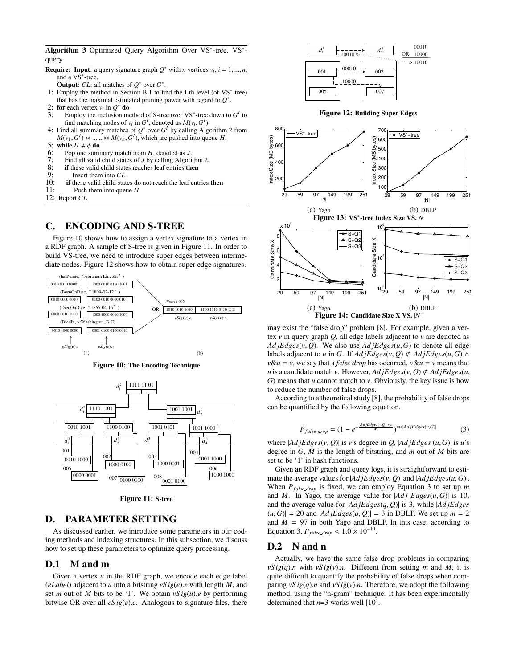Algorithm 3 Optimized Query Algorithm Over VS<sup>∗</sup>-tree, VS<sup>∗</sup> query

- **Require:** Input: a query signature graph  $Q^*$  with *n* vertices  $v_i$ ,  $i = 1, ..., n$ , and a VS∗-tree.
	- **Output**: *CL*: all matches of  $Q^*$  over  $G^*$ .
- 1: Employ the method in Section B.1 to find the I-th level (of VS∗-tree) that has the maximal estimated pruning power with regard to *Q*∗.
- 
- 2: **for** each vertex  $v_i$  in  $Q^*$  **do**<br>3: Employ the inclusion me Employ the inclusion method of S-tree over  $VS^*$ -tree down to  $G^I$  to find matching nodes of  $v_i$  in  $G^I$ , denoted as  $M(v_i, G^I)$ .
- 4: Find all summary matches of  $Q^*$  over  $G^I$  by calling Algorithm 2 from  $M(v_1, G^I) \bowtie \dots \bowtie M(v_n, G^I)$ , which are pushed into queue *H*.
- 5: while  $H \neq \phi$  do
- 6: Pop one summary match from *H*, denoted as *J*.
- 7: Find all valid child states of *J* by calling Algorithm 2.<br>8: **if** these valid child states reaches leaf entries **then**
- 8: if these valid child states reaches leaf entries then  $\frac{Q}{Q}$ .
- 9: Insert them into *CL*<br>10: **if** these valid child stat
- if these valid child states do not reach the leaf entries then
- 11: Push them into queue *H*
- 12: Report *CL*

# C. ENCODING AND S-TREE

Figure 10 shows how to assign a vertex signature to a vertex in a RDF graph. A sample of S-tree is given in Figure 11. In order to build VS-tree, we need to introduce super edges between intermediate nodes. Figure 12 shows how to obtain super edge signatures.



Figure 10: The Encoding Technique



Figure 11: S-tree

# D. PARAMETER SETTING

As discussed earlier, we introduce some parameters in our coding methods and indexing structures. In this subsection, we discuss how to set up these parameters to optimize query processing.

# D.1 M and m

Given a vertex  $u$  in the RDF graph, we encode each edge label (*eLabel*) adjacent to *u* into a bitstring *eS ig*(*e*).*e* with length *M*, and set *m* out of *M* bits to be '1'. We obtain  $vSig(u)$ . *e* by performing bitwise OR over all  $eSig(e)$ .*e*. Analogous to signature files, there







may exist the "false drop" problem [8]. For example, given a vertex *v* in query graph *Q*, all edge labels adjacent to *v* are denoted as  $AdjEdges(v, Q)$ . We also use  $AdjEdges(u, G)$  to denote all edge labels adjacent to *u* in *G*. If  $AdiEdges(v, Q) \notin AdiEdges(u, G) \land$  $v\&u = v$ , we say that a *false drop* has occurred.  $v\&u = v$  means that *u* is a candidate match *v*. However,  $AdjEdges(v, Q) \not\subset AdjEdges(u, Q)$ *G*) means that *u* cannot match to *v*. Obviously, the key issue is how to reduce the number of false drops.

According to a theoretical study [8], the probability of false drops can be quantified by the following equation.

$$
P_{false\text{drop}} = (1 - e^{-\frac{|AdjE\text{dges}(v,Q)| \times m}{M}})^{m * |AdjE\text{dges}(u,G)|} \tag{3}
$$

where  $|AdjEdges(v, Q)|$  is *v*'s degree in *Q*,  $|AdjEdges(u, G)|$  is *u*'s degree in *G*, *M* is the length of bitstring, and *m* out of *M* bits are set to be '1' in hash functions.

Given an RDF graph and query logs, it is straightforward to estimate the average values for |*Ad jEdges*(*v*, *Q*)| and |*Ad jEdges*(*u*,*G*)|. When  $P_{false\_drop}$  is fixed, we can employ Equation 3 to set up *m* and *M*. In Yago, the average value for  $|Adj Edges(u, G)|$  is 10, and the average value for |*Ad jEdges*(*q*, *Q*)| is 3, while |*Ad jEdges*  $(u, G)$ | = 20 and  $|AdjEdges(q, Q)|$  = 3 in DBLP. We set up  $m = 2$ and  $M = 97$  in both Yago and DBLP. In this case, according to Equation 3,  $P_{false\_drop} < 1.0 \times 10^{-10}$ .

# D.2 N and n

Actually, we have the same false drop problems in comparing  $vSig(q)$ .*n* with  $vSig(v)$ .*n*. Different from setting *m* and *M*, it is quite difficult to quantify the probability of false drops when comparing  $vS \text{ } ig(q)$ .*n* and  $vS \text{ } ig(v)$ .*n*. Therefore, we adopt the following method, using the "n-gram" technique. It has been experimentally determined that *n*=3 works well [10].